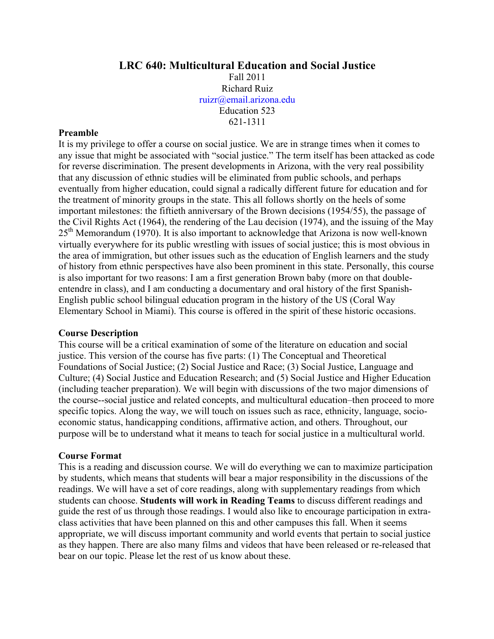#### **LRC 640: Multicultural Education and Social Justice**

Fall 2011 Richard Ruiz ruizr@email.arizona.edu Education 523 621-1311

#### **Preamble**

It is my privilege to offer a course on social justice. We are in strange times when it comes to any issue that might be associated with "social justice." The term itself has been attacked as code for reverse discrimination. The present developments in Arizona, with the very real possibility that any discussion of ethnic studies will be eliminated from public schools, and perhaps eventually from higher education, could signal a radically different future for education and for the treatment of minority groups in the state. This all follows shortly on the heels of some important milestones: the fiftieth anniversary of the Brown decisions (1954/55), the passage of the Civil Rights Act (1964), the rendering of the Lau decision (1974), and the issuing of the May  $25<sup>th</sup>$  Memorandum (1970). It is also important to acknowledge that Arizona is now well-known virtually everywhere for its public wrestling with issues of social justice; this is most obvious in the area of immigration, but other issues such as the education of English learners and the study of history from ethnic perspectives have also been prominent in this state. Personally, this course is also important for two reasons: I am a first generation Brown baby (more on that doubleentendre in class), and I am conducting a documentary and oral history of the first Spanish-English public school bilingual education program in the history of the US (Coral Way Elementary School in Miami). This course is offered in the spirit of these historic occasions.

#### **Course Description**

This course will be a critical examination of some of the literature on education and social justice. This version of the course has five parts: (1) The Conceptual and Theoretical Foundations of Social Justice; (2) Social Justice and Race; (3) Social Justice, Language and Culture; (4) Social Justice and Education Research; and (5) Social Justice and Higher Education (including teacher preparation). We will begin with discussions of the two major dimensions of the course--social justice and related concepts, and multicultural education–then proceed to more specific topics. Along the way, we will touch on issues such as race, ethnicity, language, socioeconomic status, handicapping conditions, affirmative action, and others. Throughout, our purpose will be to understand what it means to teach for social justice in a multicultural world.

#### **Course Format**

This is a reading and discussion course. We will do everything we can to maximize participation by students, which means that students will bear a major responsibility in the discussions of the readings. We will have a set of core readings, along with supplementary readings from which students can choose. **Students will work in Reading Teams** to discuss different readings and guide the rest of us through those readings. I would also like to encourage participation in extraclass activities that have been planned on this and other campuses this fall. When it seems appropriate, we will discuss important community and world events that pertain to social justice as they happen. There are also many films and videos that have been released or re-released that bear on our topic. Please let the rest of us know about these.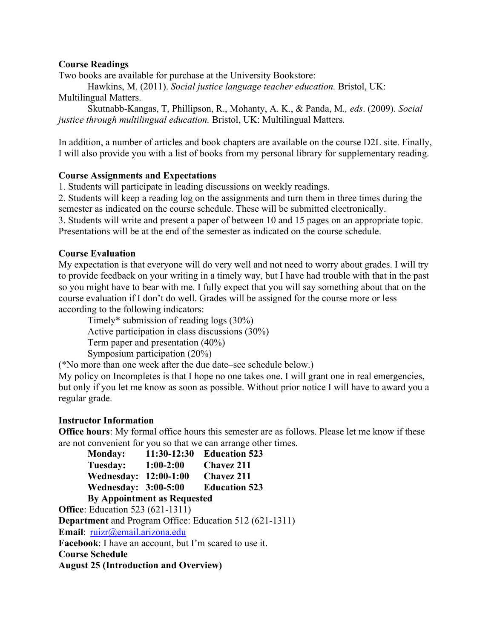#### **Course Readings**

Two books are available for purchase at the University Bookstore:

Hawkins, M. (2011). *Social justice language teacher education.* Bristol, UK: Multilingual Matters.

Skutnabb-Kangas, T, Phillipson, R., Mohanty, A. K., & Panda, M*., eds*. (2009). *Social justice through multilingual education.* Bristol, UK: Multilingual Matters*.*

In addition, a number of articles and book chapters are available on the course D2L site. Finally, I will also provide you with a list of books from my personal library for supplementary reading.

#### **Course Assignments and Expectations**

1. Students will participate in leading discussions on weekly readings.

2. Students will keep a reading log on the assignments and turn them in three times during the semester as indicated on the course schedule. These will be submitted electronically.

3. Students will write and present a paper of between 10 and 15 pages on an appropriate topic.

Presentations will be at the end of the semester as indicated on the course schedule.

#### **Course Evaluation**

My expectation is that everyone will do very well and not need to worry about grades. I will try to provide feedback on your writing in a timely way, but I have had trouble with that in the past so you might have to bear with me. I fully expect that you will say something about that on the course evaluation if I don't do well. Grades will be assigned for the course more or less according to the following indicators:

Timely\* submission of reading logs (30%) Active participation in class discussions (30%) Term paper and presentation (40%)

Symposium participation (20%)

(\*No more than one week after the due date–see schedule below.)

My policy on Incompletes is that I hope no one takes one. I will grant one in real emergencies, but only if you let me know as soon as possible. Without prior notice I will have to award you a regular grade.

#### **Instructor Information**

**Office hours**: My formal office hours this semester are as follows. Please let me know if these are not convenient for you so that we can arrange other times.

| <b>Monday:</b>                                                                                 | 11:30-12:30 | <b>Education 523</b> |
|------------------------------------------------------------------------------------------------|-------------|----------------------|
| Tuesday:                                                                                       | $1:00-2:00$ | <b>Chavez 211</b>    |
| Wednesday: 12:00-1:00                                                                          |             | <b>Chavez 211</b>    |
| <b>Wednesday: 3:00-5:00</b>                                                                    |             | <b>Education 523</b> |
| $\mathbf{D}_{\mathbf{v}}$ , American tendence and $\mathbf{D}_{\mathbf{v}}$ are a proportional |             |                      |

**By Appointment as Requested**

**Office**: Education 523 (621-1311)

**Department** and Program Office: Education 512 (621-1311)

**Email**: ruizr@email.arizona.edu

**Facebook**: I have an account, but I'm scared to use it.

**Course Schedule**

**August 25 (Introduction and Overview)**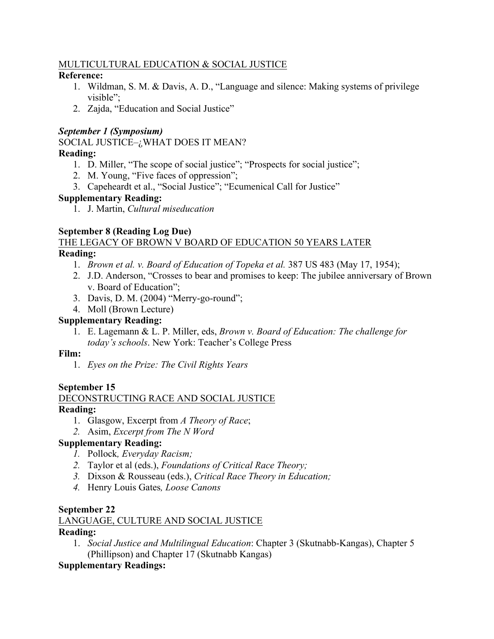## MULTICULTURAL EDUCATION & SOCIAL JUSTICE

## **Reference:**

- 1. Wildman, S. M. & Davis, A. D., "Language and silence: Making systems of privilege visible";
- 2. Zajda, "Education and Social Justice"

## *September 1 (Symposium)*

SOCIAL JUSTICE–¿WHAT DOES IT MEAN?

## **Reading:**

- 1. D. Miller, "The scope of social justice"; "Prospects for social justice";
- 2. M. Young, "Five faces of oppression";
- 3. Capeheardt et al., "Social Justice"; "Ecumenical Call for Justice"

## **Supplementary Reading:**

1. J. Martin, *Cultural miseducation*

## **September 8 (Reading Log Due)**

#### THE LEGACY OF BROWN V BOARD OF EDUCATION 50 YEARS LATER **Reading:**

- 1. *Brown et al. v. Board of Education of Topeka et al.* 387 US 483 (May 17, 1954);
- 2. J.D. Anderson, "Crosses to bear and promises to keep: The jubilee anniversary of Brown v. Board of Education";
- 3. Davis, D. M. (2004) "Merry-go-round";
- 4. Moll (Brown Lecture)

## **Supplementary Reading:**

1. E. Lagemann & L. P. Miller, eds, *Brown v. Board of Education: The challenge for today's schools*. New York: Teacher's College Press

## **Film:**

1. *Eyes on the Prize: The Civil Rights Years*

## **September 15**

# DECONSTRUCTING RACE AND SOCIAL JUSTICE

## **Reading:**

- 1. Glasgow, Excerpt from *A Theory of Race*;
- *2.* Asim, *Excerpt from The N Word*

## **Supplementary Reading:**

- *1.* Pollock*, Everyday Racism;*
- *2.* Taylor et al (eds.), *Foundations of Critical Race Theory;*
- *3.* Dixson & Rousseau (eds.), *Critical Race Theory in Education;*
- *4.* Henry Louis Gates*, Loose Canons*

## **September 22**

## LANGUAGE, CULTURE AND SOCIAL JUSTICE

## **Reading:**

1. *Social Justice and Multilingual Education*: Chapter 3 (Skutnabb-Kangas), Chapter 5 (Phillipson) and Chapter 17 (Skutnabb Kangas)

## **Supplementary Readings:**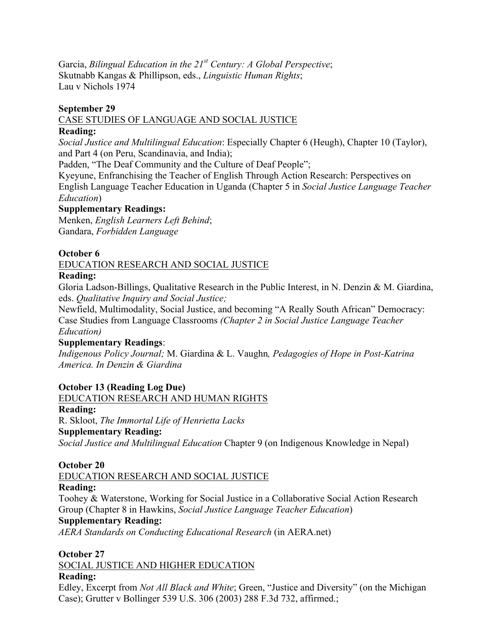Garcia, *Bilingual Education in the 21st Century: A Global Perspective*; Skutnabb Kangas & Phillipson, eds., *Linguistic Human Rights*; Lau v Nichols 1974

#### **September 29**

CASE STUDIES OF LANGUAGE AND SOCIAL JUSTICE

#### **Reading:**

*Social Justice and Multilingual Education*: Especially Chapter 6 (Heugh), Chapter 10 (Taylor), and Part 4 (on Peru, Scandinavia, and India);

Padden, "The Deaf Community and the Culture of Deaf People";

Kyeyune, Enfranchising the Teacher of English Through Action Research: Perspectives on English Language Teacher Education in Uganda (Chapter 5 in *Social Justice Language Teacher Education*)

#### **Supplementary Readings:**

Menken, *English Learners Left Behind*; Gandara, *Forbidden Language*

## **October 6**

EDUCATION RESEARCH AND SOCIAL JUSTICE

## **Reading:**

Gloria Ladson-Billings, Qualitative Research in the Public Interest, in N. Denzin & M. Giardina, eds. *Qualitative Inquiry and Social Justice;* 

Newfield, Multimodality, Social Justice, and becoming "A Really South African" Democracy: Case Studies from Language Classrooms *(Chapter 2 in Social Justice Language Teacher Education)*

## **Supplementary Readings**:

*Indigenous Policy Journal;* M. Giardina & L. Vaughn*, Pedagogies of Hope in Post-Katrina America. In Denzin & Giardina*

## **October 13 (Reading Log Due)**

EDUCATION RESEARCH AND HUMAN RIGHTS

## **Reading:**

R. Skloot, *The Immortal Life of Henrietta Lacks*

## **Supplementary Reading:**

*Social Justice and Multilingual Education* Chapter 9 (on Indigenous Knowledge in Nepal)

#### **October 20**

EDUCATION RESEARCH AND SOCIAL JUSTICE

## **Reading:**

Toohey & Waterstone, Working for Social Justice in a Collaborative Social Action Research Group (Chapter 8 in Hawkins, *Social Justice Language Teacher Education*)

#### **Supplementary Reading:**

*AERA Standards on Conducting Educational Research* (in AERA.net)

## **October 27**

SOCIAL JUSTICE AND HIGHER EDUCATION

## **Reading:**

Edley, Excerpt from *Not All Black and White*; Green, "Justice and Diversity" (on the Michigan Case); Grutter v Bollinger 539 U.S. 306 (2003) 288 F.3d 732, affirmed.;